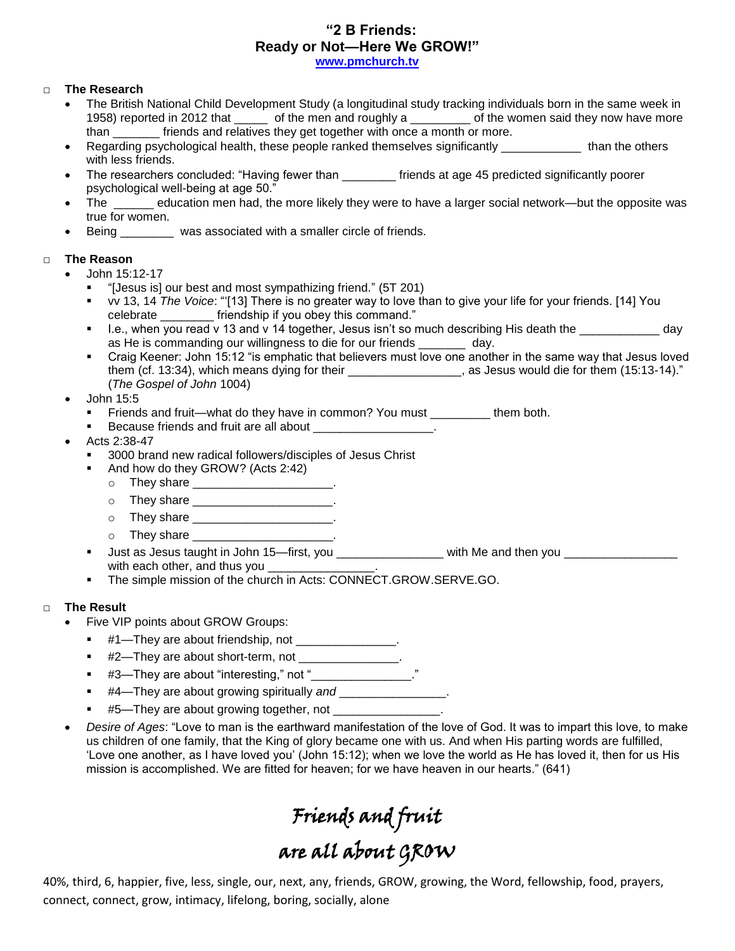## **"2 B Friends: Ready or Not—Here We GROW!"**

**[www.pmchurch.tv](http://www.pmchurch.tv/)**

### □ **The Research**

- The British National Child Development Study (a longitudinal study tracking individuals born in the same week in 1958) reported in 2012 that \_\_\_\_\_ of the men and roughly a \_\_\_\_\_\_\_\_ of the women said they now have more than **than** friends and relatives they get together with once a month or more.
- Regarding psychological health, these people ranked themselves significantly \_\_\_\_\_\_\_\_\_\_\_\_\_ than the others with less friends.
- The researchers concluded: "Having fewer than \_\_\_\_\_\_\_\_ friends at age 45 predicted significantly poorer psychological well-being at age 50."
- The \_\_\_\_\_\_ education men had, the more likely they were to have a larger social network—but the opposite was true for women.
- Being \_\_\_\_\_\_\_\_ was associated with a smaller circle of friends.

#### □ **The Reason**

- John 15:12-17
	- "[Jesus is] our best and most sympathizing friend." (5T 201)
	- vv 13, 14 *The Voice*: "'[13] There is no greater way to love than to give your life for your friends. [14] You celebrate \_\_\_\_\_\_\_\_ friendship if you obey this command."
	- I.e., when you read v 13 and v 14 together, Jesus isn't so much describing His death the day as He is commanding our willingness to die for our friends \_\_\_\_\_\_\_ day.
	- Craig Keener: John 15:12 "is emphatic that believers must love one another in the same way that Jesus loved them (cf. 13:34), which means dying for their \_\_\_\_\_\_\_\_\_\_\_\_\_\_\_\_\_, as Jesus would die for them (15:13-14)." (*The Gospel of John* 1004)
- John 15:5
	- Friends and fruit—what do they have in common? You must \_\_\_\_\_\_\_\_\_ them both.
	- Because friends and fruit are all about \_\_\_\_\_\_\_\_\_\_\_\_\_\_\_\_\_\_.
- Acts 2:38-47
	- 3000 brand new radical followers/disciples of Jesus Christ
	- And how do they GROW? (Acts 2:42)
		- o They share \_\_\_\_\_\_\_\_\_\_\_\_\_\_\_\_\_\_\_\_\_.
		- o They share \_\_\_\_\_\_\_\_\_\_\_\_\_\_\_\_\_\_\_\_\_\_.
		- o They share \_\_\_\_\_\_\_\_\_\_\_\_\_\_\_\_\_\_\_\_\_\_\_.
		- $\circ$  They share  $\circ$  .
	- Just as Jesus taught in John 15—first, you \_\_\_\_\_\_\_\_\_\_\_\_\_\_\_\_ with Me and then you \_\_\_\_\_\_\_\_\_\_\_\_\_\_\_\_\_ with each other, and thus you \_\_\_\_\_\_\_\_\_\_
	- The simple mission of the church in Acts: CONNECT.GROW.SERVE.GO.

#### □ **The Result**

- Five VIP points about GROW Groups:
	- #1—They are about friendship, not
	- #2—They are about short-term, not \_\_\_\_\_\_\_\_\_\_\_\_\_\_\_.
	- #3—They are about "interesting," not "\_\_\_\_\_\_\_\_\_\_\_\_\_\_\_."
	- #4—They are about growing spiritually *and* \_\_\_\_\_\_\_\_\_\_\_\_\_\_\_\_.
	- #5—They are about growing together, not \_\_\_\_\_\_\_\_\_\_\_\_\_\_\_\_.
- *Desire of Ages*: "Love to man is the earthward manifestation of the love of God. It was to impart this love, to make us children of one family, that the King of glory became one with us. And when His parting words are fulfilled, 'Love one another, as I have loved you' (John 15:12); when we love the world as He has loved it, then for us His mission is accomplished. We are fitted for heaven; for we have heaven in our hearts." (641)

# Friends and fruit are all about GROW

40%, third, 6, happier, five, less, single, our, next, any, friends, GROW, growing, the Word, fellowship, food, prayers, connect, connect, grow, intimacy, lifelong, boring, socially, alone